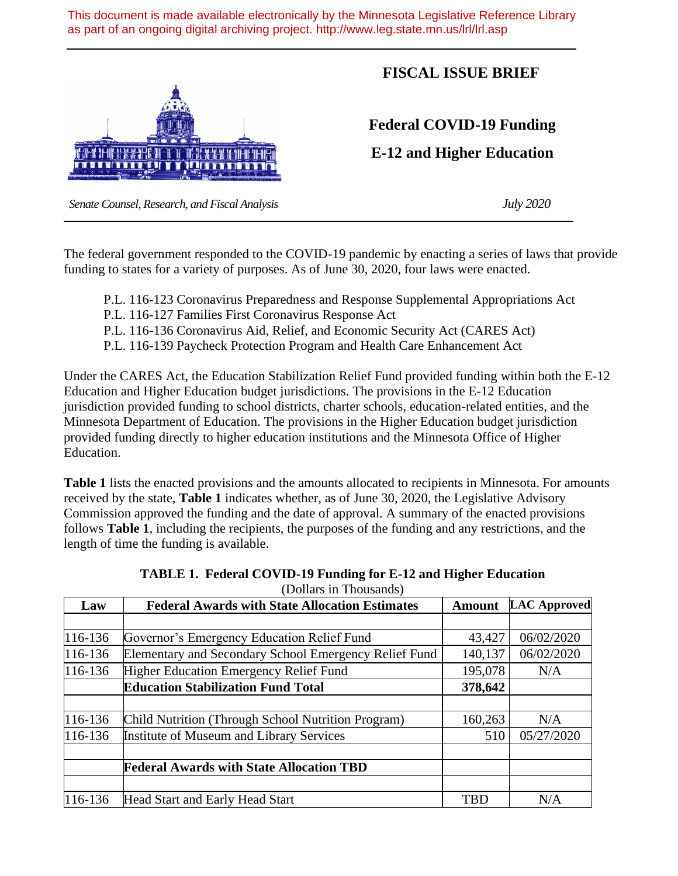This document is made available electronically by the Minnesota Legislative Reference Library as part of an ongoing digital archiving project. http://www.leg.state.mn.us/lrl/lrl.asp



## **FISCAL ISSUE BRIEF**

**Federal COVID-19 Funding**

**E-12 and Higher Education**

 *Senate Counsel, Research, and Fiscal Analysis July 2020*

The federal government responded to the COVID-19 pandemic by enacting a series of laws that provide funding to states for a variety of purposes. As of June 30, 2020, four laws were enacted.

- P.L. 116-123 Coronavirus Preparedness and Response Supplemental Appropriations Act
- P.L. 116-127 Families First Coronavirus Response Act
- P.L. 116-136 Coronavirus Aid, Relief, and Economic Security Act (CARES Act)
- P.L. 116-139 Paycheck Protection Program and Health Care Enhancement Act

Under the CARES Act, the Education Stabilization Relief Fund provided funding within both the E-12 Education and Higher Education budget jurisdictions. The provisions in the E-12 Education jurisdiction provided funding to school districts, charter schools, education-related entities, and the Minnesota Department of Education. The provisions in the Higher Education budget jurisdiction provided funding directly to higher education institutions and the Minnesota Office of Higher Education.

**Table 1** lists the enacted provisions and the amounts allocated to recipients in Minnesota. For amounts received by the state, **Table 1** indicates whether, as of June 30, 2020, the Legislative Advisory Commission approved the funding and the date of approval. A summary of the enacted provisions follows **Table 1**, including the recipients, the purposes of the funding and any restrictions, and the length of time the funding is available.

| Law       | <b>Federal Awards with State Allocation Estimates</b> | <b>Amount</b> | <b>LAC Approved</b> |
|-----------|-------------------------------------------------------|---------------|---------------------|
|           |                                                       |               |                     |
| $116-136$ | Governor's Emergency Education Relief Fund            | 43,427        | 06/02/2020          |
| 116-136   | Elementary and Secondary School Emergency Relief Fund | 140,137       | 06/02/2020          |
| 116-136   | Higher Education Emergency Relief Fund                | 195,078       | N/A                 |
|           | <b>Education Stabilization Fund Total</b>             | 378,642       |                     |
|           |                                                       |               |                     |
| 116-136   | Child Nutrition (Through School Nutrition Program)    | 160,263       | N/A                 |
| 116-136   | Institute of Museum and Library Services              | 510           | 05/27/2020          |
|           |                                                       |               |                     |
|           | <b>Federal Awards with State Allocation TBD</b>       |               |                     |
|           |                                                       |               |                     |
| 116-136   | Head Start and Early Head Start                       | <b>TBD</b>    | N/A                 |

| TABLE 1. Federal COVID-19 Funding for E-12 and Higher Education |
|-----------------------------------------------------------------|
| (Dollars in Thousands)                                          |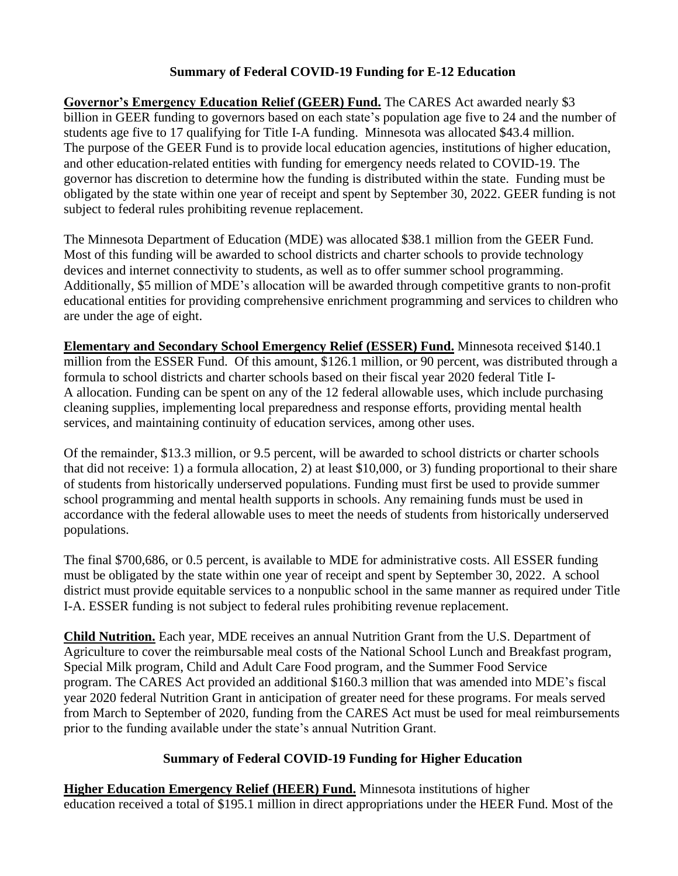## **Summary of Federal COVID-19 Funding for E-12 Education**

**Governor's Emergency Education Relief (GEER) Fund.** The CARES Act awarded nearly \$3 billion in GEER funding to governors based on each state's population age five to 24 and the number of students age five to 17 qualifying for Title I-A funding. Minnesota was allocated \$43.4 million. The purpose of the GEER Fund is to provide local education agencies, institutions of higher education, and other education-related entities with funding for emergency needs related to COVID-19. The governor has discretion to determine how the funding is distributed within the state. Funding must be obligated by the state within one year of receipt and spent by September 30, 2022. GEER funding is not subject to federal rules prohibiting revenue replacement.

The Minnesota Department of Education (MDE) was allocated \$38.1 million from the GEER Fund. Most of this funding will be awarded to school districts and charter schools to provide technology devices and internet connectivity to students, as well as to offer summer school programming. Additionally, \$5 million of MDE's allocation will be awarded through competitive grants to non-profit educational entities for providing comprehensive enrichment programming and services to children who are under the age of eight.

**Elementary and Secondary School Emergency Relief (ESSER) Fund.** Minnesota received \$140.1 million from the ESSER Fund. Of this amount, \$126.1 million, or 90 percent, was distributed through a formula to school districts and charter schools based on their fiscal year 2020 federal Title I-A allocation. Funding can be spent on any of the 12 federal allowable uses, which include purchasing cleaning supplies, implementing local preparedness and response efforts, providing mental health services, and maintaining continuity of education services, among other uses.

Of the remainder, \$13.3 million, or 9.5 percent, will be awarded to school districts or charter schools that did not receive: 1) a formula allocation, 2) at least \$10,000, or 3) funding proportional to their share of students from historically underserved populations. Funding must first be used to provide summer school programming and mental health supports in schools. Any remaining funds must be used in accordance with the federal allowable uses to meet the needs of students from historically underserved populations.

The final \$700,686, or 0.5 percent, is available to MDE for administrative costs. All ESSER funding must be obligated by the state within one year of receipt and spent by September 30, 2022. A school district must provide equitable services to a nonpublic school in the same manner as required under Title I-A. ESSER funding is not subject to federal rules prohibiting revenue replacement.

**Child Nutrition.** Each year, MDE receives an annual Nutrition Grant from the U.S. Department of Agriculture to cover the reimbursable meal costs of the National School Lunch and Breakfast program, Special Milk program, Child and Adult Care Food program, and the Summer Food Service program. The CARES Act provided an additional \$160.3 million that was amended into MDE's fiscal year 2020 federal Nutrition Grant in anticipation of greater need for these programs. For meals served from March to September of 2020, funding from the CARES Act must be used for meal reimbursements prior to the funding available under the state's annual Nutrition Grant.

## **Summary of Federal COVID-19 Funding for Higher Education**

**Higher Education Emergency Relief (HEER) Fund.** Minnesota institutions of higher education received a total of \$195.1 million in direct appropriations under the HEER Fund. Most of the